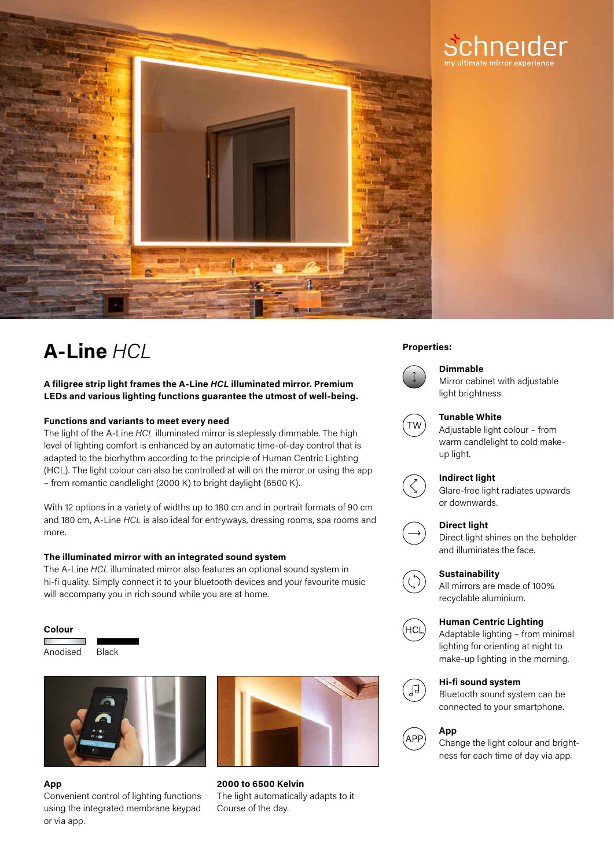

# **Properties: A-Line** *HCL*

# **A filigree strip light frames the A-Line** *HCL* **illuminated mirror. Premium LEDs and various lighting functions guarantee the utmost of well-being.**

#### **Functions and variants to meet every need**

The light of the A-Line *HCL* illuminated mirror is steplessly dimmable. The high level of lighting comfort is enhanced by an automatic time-of-day control that is adapted to the biorhythm according to the principle of Human Centric Lighting (HCL). The light colour can also be controlled at will on the mirror or using the app – from romantic candlelight (2000 K) to bright daylight (6500 K).

With 12 options in a variety of widths up to 180 cm and in portrait formats of 90 cm and 180 cm, A-Line *HCL* is also ideal for entryways, dressing rooms, spa rooms and more.

### **The illuminated mirror with an integrated sound system**

The A-Line *HCL* illuminated mirror also features an optional sound system in hi-fi quality. Simply connect it to your bluetooth devices and your favourite music will accompany you in rich sound while you are at home.

#### **Colour**

Anodised Black





# **App**

Convenient control of lighting functions using the integrated membrane keypad or via app.



**2000 to 6500 Kelvin** The light automatically adapts to it Course of the day.



# **Dimmable**

Mirror cabinet with adjustable light brightness.

chneider



#### **Tunable White**

Adjustable light colour – from warm candlelight to cold makeup light.

#### **Indirect light**

Glare-free light radiates upwards or downwards.



# **Direct light**

Direct light shines on the beholder and illuminates the face.

#### **Sustainability**

All mirrors are made of 100% recyclable aluminium.

# **Human Centric Lighting**

Adaptable lighting – from minimal lighting for orienting at night to make-up lighting in the morning.

# **Hi-fi sound system**

Bluetooth sound system can be connected to your smartphone.



ЪĻ

้нс∟̀

### **App**

Change the light colour and brightness for each time of day via app.